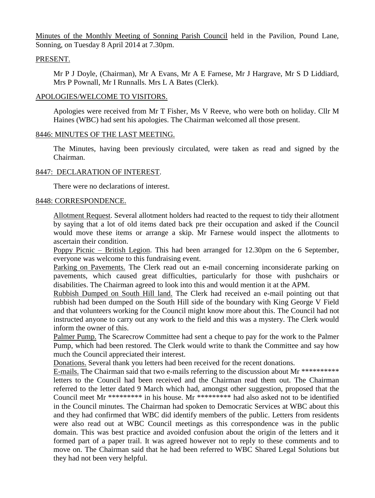Minutes of the Monthly Meeting of Sonning Parish Council held in the Pavilion, Pound Lane, Sonning, on Tuesday 8 April 2014 at 7.30pm.

# PRESENT.

Mr P J Doyle, (Chairman), Mr A Evans, Mr A E Farnese, Mr J Hargrave, Mr S D Liddiard, Mrs P Pownall, Mr I Runnalls. Mrs L A Bates (Clerk).

# APOLOGIES/WELCOME TO VISITORS.

Apologies were received from Mr T Fisher, Ms V Reeve, who were both on holiday. Cllr M Haines (WBC) had sent his apologies. The Chairman welcomed all those present.

## 8446: MINUTES OF THE LAST MEETING.

The Minutes, having been previously circulated, were taken as read and signed by the Chairman.

# 8447: DECLARATION OF INTEREST.

There were no declarations of interest.

## 8448: CORRESPONDENCE.

Allotment Request. Several allotment holders had reacted to the request to tidy their allotment by saying that a lot of old items dated back pre their occupation and asked if the Council would move these items or arrange a skip. Mr Farnese would inspect the allotments to ascertain their condition.

Poppy Picnic – British Legion. This had been arranged for 12.30pm on the 6 September, everyone was welcome to this fundraising event.

Parking on Pavements. The Clerk read out an e-mail concerning inconsiderate parking on pavements, which caused great difficulties, particularly for those with pushchairs or disabilities. The Chairman agreed to look into this and would mention it at the APM.

Rubbish Dumped on South Hill land. The Clerk had received an e-mail pointing out that rubbish had been dumped on the South Hill side of the boundary with King George V Field and that volunteers working for the Council might know more about this. The Council had not instructed anyone to carry out any work to the field and this was a mystery. The Clerk would inform the owner of this.

Palmer Pump. The Scarecrow Committee had sent a cheque to pay for the work to the Palmer Pump, which had been restored. The Clerk would write to thank the Committee and say how much the Council appreciated their interest.

Donations. Several thank you letters had been received for the recent donations.

E-mails. The Chairman said that two e-mails referring to the discussion about Mr \*\*\*\*\*\*\*\*\*\* letters to the Council had been received and the Chairman read them out. The Chairman referred to the letter dated 9 March which had, amongst other suggestion, proposed that the Council meet Mr \*\*\*\*\*\*\*\*\* in his house. Mr \*\*\*\*\*\*\*\*\* had also asked not to be identified in the Council minutes. The Chairman had spoken to Democratic Services at WBC about this and they had confirmed that WBC did identify members of the public. Letters from residents were also read out at WBC Council meetings as this correspondence was in the public domain. This was best practice and avoided confusion about the origin of the letters and it formed part of a paper trail. It was agreed however not to reply to these comments and to move on. The Chairman said that he had been referred to WBC Shared Legal Solutions but they had not been very helpful.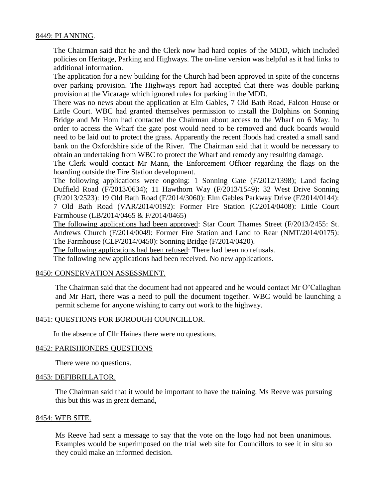# 8449: PLANNING.

The Chairman said that he and the Clerk now had hard copies of the MDD, which included policies on Heritage, Parking and Highways. The on-line version was helpful as it had links to additional information.

The application for a new building for the Church had been approved in spite of the concerns over parking provision. The Highways report had accepted that there was double parking provision at the Vicarage which ignored rules for parking in the MDD.

There was no news about the application at Elm Gables, 7 Old Bath Road, Falcon House or Little Court. WBC had granted themselves permission to install the Dolphins on Sonning Bridge and Mr Hom had contacted the Chairman about access to the Wharf on 6 May. In order to access the Wharf the gate post would need to be removed and duck boards would need to be laid out to protect the grass. Apparently the recent floods had created a small sand bank on the Oxfordshire side of the River. The Chairman said that it would be necessary to obtain an undertaking from WBC to protect the Wharf and remedy any resulting damage.

The Clerk would contact Mr Mann, the Enforcement Officer regarding the flags on the hoarding outside the Fire Station development.

The following applications were ongoing: 1 Sonning Gate (F/2012/1398); Land facing Duffield Road (F/2013/0634); 11 Hawthorn Way (F/2013/1549): 32 West Drive Sonning (F/2013/2523): 19 Old Bath Road (F/2014/3060): Elm Gables Parkway Drive (F/2014/0144): 7 Old Bath Road (VAR/2014/0192): Former Fire Station (C/2014/0408): Little Court Farmhouse (LB/2014/0465 & F/2014/0465)

The following applications had been approved: Star Court Thames Street (F/2013/2455: St. Andrews Church (F/2014/0049: Former Fire Station and Land to Rear (NMT/2014/0175): The Farmhouse (CLP/2014/0450): Sonning Bridge (F/2014/0420).

The following applications had been refused: There had been no refusals.

The following new applications had been received. No new applications.

### 8450: CONSERVATION ASSESSMENT.

The Chairman said that the document had not appeared and he would contact Mr O'Callaghan and Mr Hart, there was a need to pull the document together. WBC would be launching a permit scheme for anyone wishing to carry out work to the highway.

# 8451: QUESTIONS FOR BOROUGH COUNCILLOR.

In the absence of Cllr Haines there were no questions.

### 8452: PARISHIONERS QUESTIONS

There were no questions.

### 8453: DEFIBRILLATOR.

The Chairman said that it would be important to have the training. Ms Reeve was pursuing this but this was in great demand,

#### 8454: WEB SITE.

Ms Reeve had sent a message to say that the vote on the logo had not been unanimous. Examples would be superimposed on the trial web site for Councillors to see it in situ so they could make an informed decision.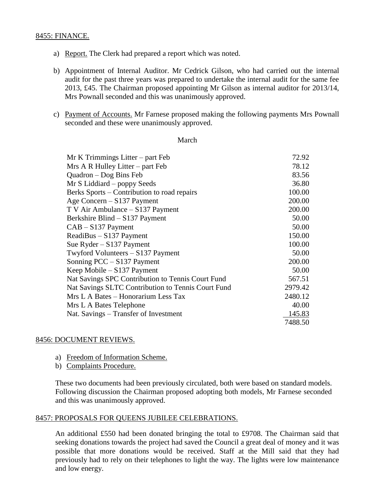# 8455: FINANCE.

- a) Report. The Clerk had prepared a report which was noted.
- b) Appointment of Internal Auditor. Mr Cedrick Gilson, who had carried out the internal audit for the past three years was prepared to undertake the internal audit for the same fee 2013, £45. The Chairman proposed appointing Mr Gilson as internal auditor for 2013/14, Mrs Pownall seconded and this was unanimously approved.
- c) Payment of Accounts. Mr Farnese proposed making the following payments Mrs Pownall seconded and these were unanimously approved.

#### March

| $Mr K$ Trimmings Litter – part Feb                 | 72.92   |
|----------------------------------------------------|---------|
| $Mrs A R Hulley Litter - part Feb$                 | 78.12   |
| Quadron - Dog Bins Feb                             | 83.56   |
| Mr S Liddiard – poppy Seeds                        | 36.80   |
| Berks Sports – Contribution to road repairs        | 100.00  |
| Age Concern – S137 Payment                         | 200.00  |
| T V Air Ambulance – S137 Payment                   | 200.00  |
| Berkshire Blind - S137 Payment                     | 50.00   |
| $CAB - S137$ Payment                               | 50.00   |
| $ReadiBus - S137 Payment$                          | 150.00  |
| Sue Ryder $-$ S137 Payment                         | 100.00  |
| Twyford Volunteers - S137 Payment                  | 50.00   |
| Sonning PCC – S137 Payment                         | 200.00  |
| Keep Mobile - S137 Payment                         | 50.00   |
| Nat Savings SPC Contribution to Tennis Court Fund  | 567.51  |
| Nat Savings SLTC Contribution to Tennis Court Fund | 2979.42 |
| Mrs L A Bates – Honorarium Less Tax                | 2480.12 |
| Mrs L A Bates Telephone                            | 40.00   |
| Nat. Savings – Transfer of Investment              | 145.83  |
|                                                    | 7488.50 |

### 8456: DOCUMENT REVIEWS.

- a) Freedom of Information Scheme.
- b) Complaints Procedure.

These two documents had been previously circulated, both were based on standard models. Following discussion the Chairman proposed adopting both models, Mr Farnese seconded and this was unanimously approved.

### 8457: PROPOSALS FOR QUEENS JUBILEE CELEBRATIONS.

An additional £550 had been donated bringing the total to £9708. The Chairman said that seeking donations towards the project had saved the Council a great deal of money and it was possible that more donations would be received. Staff at the Mill said that they had previously had to rely on their telephones to light the way. The lights were low maintenance and low energy.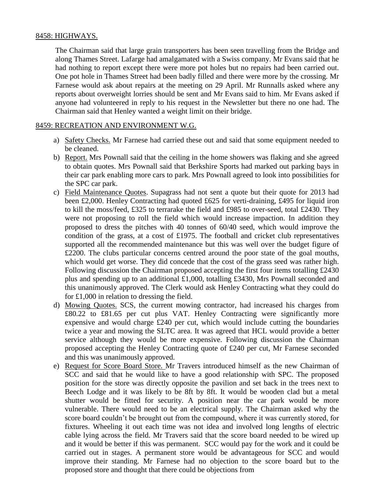# 8458: HIGHWAYS.

The Chairman said that large grain transporters has been seen travelling from the Bridge and along Thames Street. Lafarge had amalgamated with a Swiss company. Mr Evans said that he had nothing to report except there were more pot holes but no repairs had been carried out. One pot hole in Thames Street had been badly filled and there were more by the crossing. Mr Farnese would ask about repairs at the meeting on 29 April. Mr Runnalls asked where any reports about overweight lorries should be sent and Mr Evans said to him. Mr Evans asked if anyone had volunteered in reply to his request in the Newsletter but there no one had. The Chairman said that Henley wanted a weight limit on their bridge.

# 8459: RECREATION AND ENVIRONMENT W.G.

- a) Safety Checks. Mr Farnese had carried these out and said that some equipment needed to be cleaned.
- b) Report. Mrs Pownall said that the ceiling in the home showers was flaking and she agreed to obtain quotes. Mrs Pownall said that Berkshire Sports had marked out parking bays in their car park enabling more cars to park. Mrs Pownall agreed to look into possibilities for the SPC car park.
- c) Field Maintenance Quotes. Supagrass had not sent a quote but their quote for 2013 had been £2,000. Henley Contracting had quoted £625 for verti-draining, £495 for liquid iron to kill the moss/feed, £325 to terrarake the field and £985 to over-seed, total £2430. They were not proposing to roll the field which would increase impaction. In addition they proposed to dress the pitches with 40 tonnes of 60/40 seed, which would improve the condition of the grass, at a cost of £1975. The football and cricket club representatives supported all the recommended maintenance but this was well over the budget figure of £2200. The clubs particular concerns centred around the poor state of the goal mouths, which would get worse. They did concede that the cost of the grass seed was rather high. Following discussion the Chairman proposed accepting the first four items totalling £2430 plus and spending up to an additional £1,000, totalling £3430, Mrs Pownall seconded and this unanimously approved. The Clerk would ask Henley Contracting what they could do for £1,000 in relation to dressing the field.
- d) Mowing Quotes. SCS, the current mowing contractor, had increased his charges from £80.22 to £81.65 per cut plus VAT. Henley Contracting were significantly more expensive and would charge £240 per cut, which would include cutting the boundaries twice a year and mowing the SLTC area. It was agreed that HCL would provide a better service although they would be more expensive. Following discussion the Chairman proposed accepting the Henley Contracting quote of £240 per cut, Mr Farnese seconded and this was unanimously approved.
- e) Request for Score Board Store. Mr Travers introduced himself as the new Chairman of SCC and said that he would like to have a good relationship with SPC. The proposed position for the store was directly opposite the pavilion and set back in the trees next to Beech Lodge and it was likely to be 8ft by 8ft. It would be wooden clad but a metal shutter would be fitted for security. A position near the car park would be more vulnerable. There would need to be an electrical supply. The Chairman asked why the score board couldn't be brought out from the compound, where it was currently stored, for fixtures. Wheeling it out each time was not idea and involved long lengths of electric cable lying across the field. Mr Travers said that the score board needed to be wired up and it would be better if this was permanent. SCC would pay for the work and it could be carried out in stages. A permanent store would be advantageous for SCC and would improve their standing. Mr Farnese had no objection to the score board but to the proposed store and thought that there could be objections from